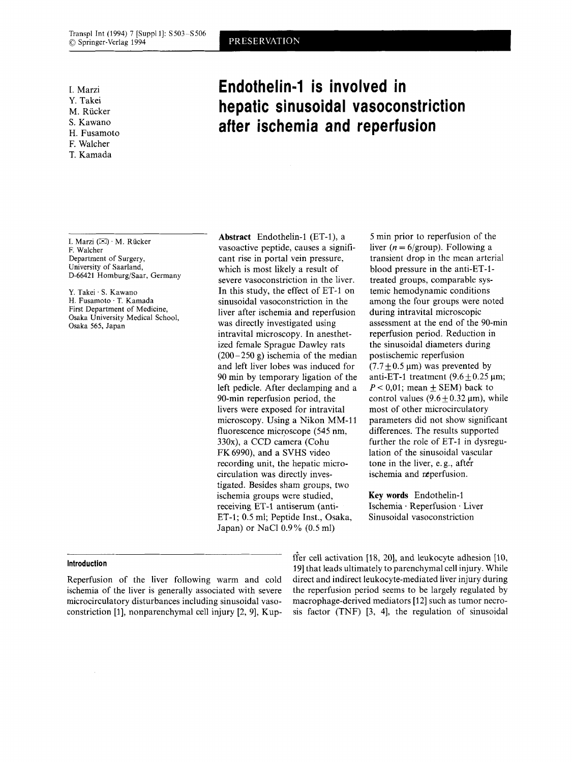I. Marzi Y. Takei M. Rücker **S.** Kawano H. Fusamoto F. Walcher

T. Kamada

I. Marzi  $(\boxtimes) \cdot$  M. Rücker F. Walcher Department of Surgery, University **of** Saarland, D-66421 Homburg/Saar, Germany

Y. Takei . S. Kawano H. Fusamoto . T. Kamada First Department of Medicine, Osaka University Medical School, Osaka 565, Japan

Reperfusion of the liver following warm and cold ischemia of the liver is generally associated with severe microcirculatory disturbances including sinusoidal vasoconstriction  $[1]$ , nonparenchymal cell injury  $[2, 9]$ , Kup-

**Abstract** Endothelin-1 (ET-l), a vasoactive peptide, causes a significant rise in portal vein pressure, which is most likely a result of severe vasoconstriction in the liver. In this study, the effect of ET-1 on sinusoidal vasoconstriction in the liver after ischemia and reperfusion was directly investigated using intravital microscopy. In anesthetized female Sprague Dawley rats  $(200-250 \text{ g})$  ischemia of the median and left liver lobes was induced for 90 min by temporary ligation of the left pedicle. After declamping and a 90-min reperfusion period, the livers were exposed for intravital microscopy. Using a Nikon MM-11 fluorescence microscope (545 nm, 330x), a CCD camera (Cohu FK6990), and a **SVHS** video recording unit, the hepatic microcirculation was directly investigated. Besides sham groups, two ischemia groups were studied, receiving ET-1 antiserum (anti-ET-1; 0.5 ml; Peptide Inst., Osaka,

Japan) or NaCl 0.9% (0.5 ml)

*5* min prior to reperfusion of the liver  $(n = 6/\text{group})$ . Following a transient drop in the mean arterial blood pressure in the anti-ET-1 treated groups, comparable systemic hemodynamic conditions among the four groups were noted during intravital microscopic assessment at the end of the 90-min reperfusion period. Reduction in the sinusoidal diameters during postischemic reperfusion  $(7.7 + 0.5 \,\text{\mu m})$  was prevented by anti-ET-1 treatment  $(9.6 \pm 0.25 \,\mu\text{m})$ ;  $P < 0.01$ ; mean  $\pm$  SEM) back to control values ( $9.6 \pm 0.32 \,\mu m$ ), while most of other microcirculatory parameters did not show significant differences. The results supported further the role of ET-1 in dysregulation of the sinusoidal vascular tone in the liver, e. g., afte'r ischemia and reperfusion.

**Key words** Endothelin-1 Ischemia \* Reperfusion . Liver Sinusoidal vasoconstriction

**Introduction Introduction fier cell activation** [18, 20], and leukocyte adhesion [10, **http://www.filtherical.com/integrate** and **integrate**  $\frac{1}{2}$ 391 that leads ultimately to parenchymal cell injury. While direct and indirect leukocyte-mediated liver injury during the reperfusion period seems to be largely regulated by macrophage-derived mediators [12] such as tumor necrosis factor (TNF) **[3,** 41, the regulation of sinusoidal

# **Endothelin-1 is involved in hepatic sinusoidal vasoconstriction after ischemia and reperfusion**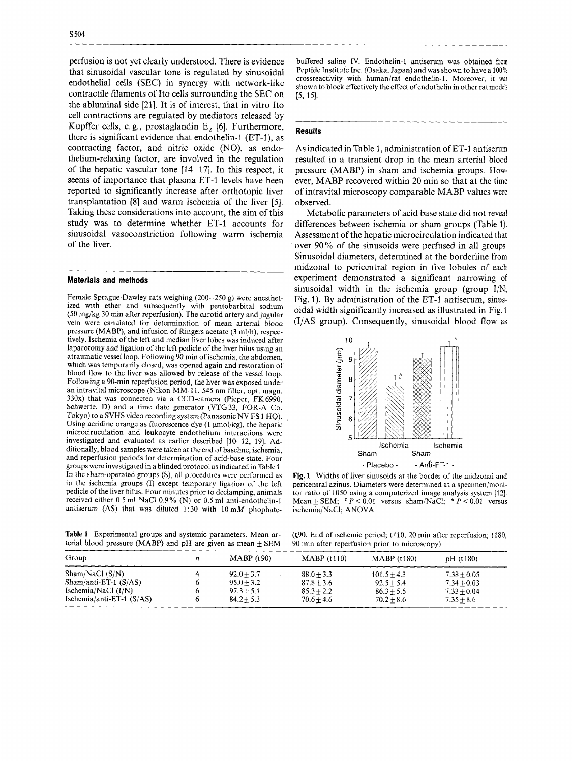perfusion is not yet clearly understood. There is evidence that sinusoidal vascular tone is regulated by sinusoidal endothelial cells (SEC) in synergy with network-like contractile filaments of Ito cells surrounding the SEC on the abluminal side [21]. It is of interest, that in vitro Ito cell contractions are regulated by mediators released by Kupffer cells, e. g., prostaglandin E, *[6].* Furthermore, there is significant evidence that endothelin-1 (ET-I), as contracting factor, and nitric oxide (NO), **as** endothelium-relaxing factor, are involved in the regulation of the hepatic vascular tone  $[14-17]$ . In this respect, it seems of importance that plasma ET-1 levels have been reported to significantly increase after orthotopic liver transplantation **[8]** and warm ischemia of the liver *[5].*  Taking these considerations into account, the aim of this study was to determine whether ET-1 accounts for sinusoidal vasoconstriction following warm ischemia of the liver.

~ ~~

## **Materials and methods**

Female Sprague-Dawley rats weighing (200-250 g) were anesthetized with ether and subsequently with pentobarbital sodium (50 mg/kg 30 min after reperfusion). The carotid artery and jugular vein were canulated for determination of mean arterial blood pressure (MABP), and infusion of Ringers acetate (3 ml/h), respectively. Ischemia of the left and median liver lobes was induced after laparotomy and ligation of the left pedicle of the liver hilus using an atraumatic vessel loop. Following 90 min of ischemia, the abdomen, which was temporarily closed, was opened again and restoration of blood flow to the liver was allowed by release of the vessel loop. Following a 90-min reperfusion period, the liver was exposed under an intravital microscope (Nikon MM-11, 545 nm filter, opt. magn. 330x) that was connected via a CCD-camera (Pieper, FK6990, Schwerte, D) and a time date generator (VTG33, FOR-A Co, Tokyo) to a SVHS video recording system (Panasonic NV FS 1 HQ). Using acridine orange as fluorescence dye  $(1 \mu \text{mol/kg})$ , the hepatic microciruculation and leukocyte endothelium interactions were investigated and evaluated as earlier described 110-12, 191. Additionally, blood samples were taken at the end of baseline, ischemia, and reperfusion periods for determination of acid-base state. Four groups were investigated in a blinded protocol as indicated in Table 1. In the sham-operated groups (S), all procedures were performed as in the ischemia groups (I) except temporary ligation of the left pedicle of the liver hilus. Four minutes prior to declamping, animals received either 0.5 ml NaCl 0.9% (N) or 0.5 ml anti-endothelin-I antiserum (AS) that was diluted 1:30 with  $10 \text{ mM}$  phophate-

As indicated in Table 1, administration of ET-1 antiserum resulted in a transient drop in the mean arterial blood pressure (MABP) in sham and ischemia groups. However, MABP recovered within 20 min so that at the time

 $[5, 15]$ .

**Results** 

observed. Metabolic parameters of acid base state did not reveal differences between ischemia or sham groups (Table 1). Assessment of the hepatic microcirculation indicated that over 90% of the sinusoids were perfused in all groups. Sinusoidal diameters, determined at the borderline from midzonal to pericentral region in five lobules of each experiment demonstrated a significant narrowing of sinusoidal width in the ischemia group (group I/N; Fig. 1). By administration of the ET-1 antiserum, sinusoidal width significantly increased as illustrated in Fig. 1 **(I/AS** group). Consequently, sinusoidal blood flow as

of intravital microscopy comparable MABP values were

buffered saline IV. Endothelin-1 antiserum was obtained from Peptide Institute Inc. (Osaka, Japan) and was shown to have a 100% crossreactivity with human/rat endothelin-1 . Moreover, it was shown to block effectively the effect of endothelin in other rat models



**Fig. 1** Widths of liver sinusoids at the border of the midzonal and pericentral azinus. Diameters were determined at a specimen/monitor ratio of 1050 using a computerized image analysis system [12]. Mean  $\pm$  SEM;  $* P < 0.01$  versus sham/NaCl;  $* P < 0.01$  versus ischemia/NaCl; ANOVA

**Table 1** Experimental groups and systemic parameters. Mean arterial blood pressure (MABP) and pH are given as mean  $\pm$  SEM

(t90, End of ischemic period; t110, 20 min after reperfusion; t180, 90 min after reperfusion prior to microscopy)

| Group                                                                                            | n | MABP(t90)                                                    | MABP(t110)                                                   | MABP(t180)                                                    | pH (t180)                                                       |  |
|--------------------------------------------------------------------------------------------------|---|--------------------------------------------------------------|--------------------------------------------------------------|---------------------------------------------------------------|-----------------------------------------------------------------|--|
| Sham/NaCl(S/N)<br>$Sham/anti-ET-1(S/AS)$<br>Ischemia/NaCl $(I/N)$<br>Ischemia/anti-ET-1 $(S/AS)$ |   | $92.0 + 3.7$<br>$95.0 + 3.2$<br>$97.3 + 5.1$<br>$84.2 + 5.3$ | $88.0 + 3.3$<br>$87.8 + 3.6$<br>$85.3 + 2.2$<br>$70.6 + 4.6$ | $101.5 + 4.3$<br>$92.5 + 5.4$<br>$86.3 + 5.5$<br>$70.2 + 8.6$ | $7.38 + 0.05$<br>$7.34 + 0.03$<br>$7.33 + 0.04$<br>$7.35 + 8.6$ |  |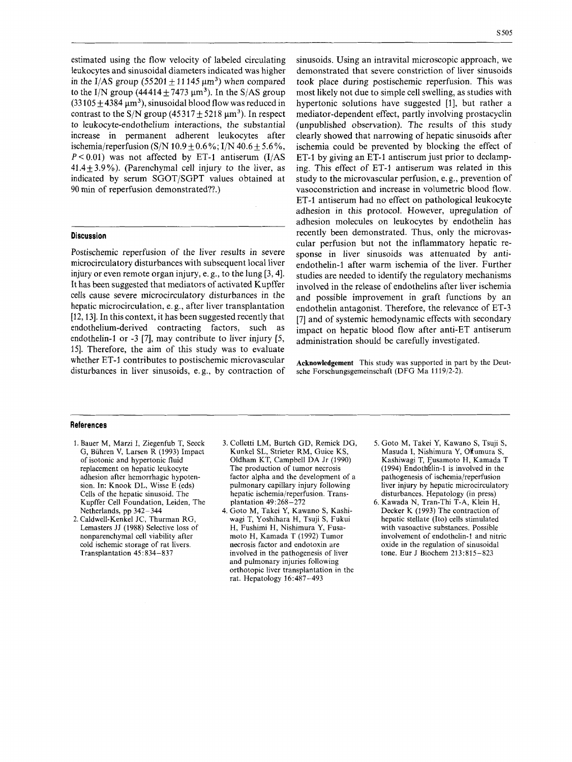estimated using the flow velocity of labeled circulating leukocytes and sinusoidal diameters indicated was higher in the I/AS group  $(55201 + 11145 \,\mu m^3)$  when compared to the I/N group  $(44414 + 7473 \text{ }\mu\text{m}^3)$ . In the S/AS group  $(33105 \pm 4384 \,\mu m^3)$ , sinusoidal blood flow was reduced in contrast to the S/N group (45317  $\pm$  5218  $\mu$ m<sup>3</sup>). In respect to leukocyte-endothelium interactions, the substantial increase in permanent adherent leukocytes after ischemia/reperfusion (S/N  $10.9 \pm 0.6$ %; I/N  $40.6 \pm 5.6$ %,  $P < 0.01$ ) was not affected by ET-1 antiserum (I/AS  $41.4 + 3.9\%$ ). (Parenchymal cell injury to the liver, as indicated by serum SGOT/SGPT values obtained at 90 min of reperfusion demonstrated??.)

#### **Discussion**

Postischemic reperfusion of the liver results in severe microcirculatory disturbances with subsequent local liver injury or even remote organ injury, e. g., to the lung [3,4]. It has been suggested that mediators of activated Kupffer cells cause severe microcirculatory disturbances in the hepatic microcirculation, e. g., after liver transplantation [12,13]. In this context, it has been suggested recently that endothelium-derived contracting factors, such as endothelin-1 or -3 [7], may contribute to liver injury *[S,*  151. Therefore, the aim of this study was to evaluate whether ET-1 contributes to postischemic microvascular disturbances in liver sinusoids, e. g., by contraction of sinusoids. Using an intravital microscopic approach, we demonstrated that severe constriction of liver sinusoids took place during postischemic reperfusion. This was most likely not due to simple cell swelling, as studies with hypertonic solutions have suggested [1], but rather a mediator-dependent effect, partly involving prostacyclin (unpublished observation). The results of this study clearly showed that narrowing of hepatic sinusoids after ischemia could be prevented by blocking the effect of ET-1 by giving an ET-1 antiserum just prior to declamping. This effect of ET-1 antiserum was related in this study to the microvascular perfusion, e. g., prevention of vasoconstriction and increase in volumetric blood flow. ET-1 antiserum had no effect on pathological leukocyte adhesion in this protocol. However, upregulation of adhesion molecules on leukocytes by endothelin has recently been demonstrated. Thus, only the microvascular perfusion but not the inflammatory hepatic response in liver sinusoids was attenuated by antiendothelin-I after warm ischemia of the liver. Further studies are needed to identify the regulatory mechanisms involved in the release of endothelins after liver ischemia and possible improvement in graft functions by an endothelin antagonist. Therefore, the relevance of ET-3 [7] and of systemic hernodynamic effects with secondary impact on hepatic blood flow after anti-ET antiserum administration should be carefully investigated.

**Acknowledgement** This study was supported in part by the Deutsche Forschungsgemeinschaft (DFG Ma 11 19/2-2).

### **References**

- 1. Bauer M, Marzi I, Ziegenfub T, Seeck G, Biihren **V,** Larsen R (1993) Impact of isotonic and hypertonic fluid replacement on hepatic leukocyte adhesion after hemorrhagic hypotension. In: Knook DL, Wisse E (eds) Cells of the hepatic sinusoid. The Kupffer Cell Foundation, Leiden, The Netherlands, pp 342-344
- **2.** Caldwell-Kenkel JC, Thurman RG, Lemasters JJ (1988) Selective loss of nonparenchymal cell viability after cold ischemic storage of rat livers. Transplantation 45: 834-837
- 3. Colletti LM, Burtch GD, Remick DG, Kunkel SL, Strieter RM, Guice KS, Oldham KT, Campbell DA Jr (1990) The production of tumor necrosis factor alpha and the development of a pulmonary capillary injury following hepatic ischemia/reperfusion. Transplantation 49:268-272
- 4. Goto M, Takei Y, Kawano **S,** Kashiwagi T, Yoshihara H, Tsuji **S,** Fukui H, Fushimi H, Nishimura Y, Fusamot0 H, Kamada T (1992) Tumor necrosis factor and endotoxin are involved in the pathogenesis of liver and pulmonary injuries following orthotopic liver transplantation in the rat. Hepatology 16:487-493
- 5. Goto M, Takei Y, Kawano **S,** Tsuji **S,**  Masuda I, Nishimura *Y,* Ohmura **S,**  Kashiwagi T, Fusamoto H, Kamada T  $(1994)$  Endothelin-1 is involved in the pathogenesis of ischemia/reperfusion liver injury by hepatic microcirculatory disturbances. Hepatology (in press)
- 6. Kawada N, Tran-Thi T-A, Klein H, Decker K (1993) The contraction of hepatic stellate (Ito) cells stimulated with vasoactive substances. Possible involvement of endothelin-1 and nitric oxide in the regulation of sinusoidal tone. Eur J Biochem 213:815-823